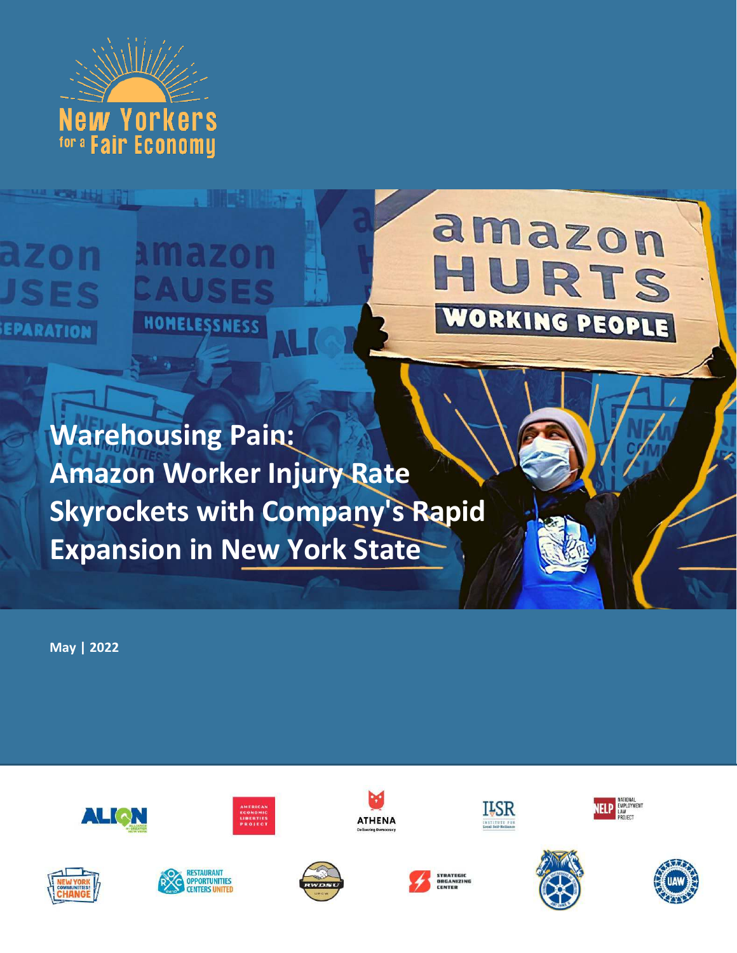

ELITE ZO

HOMELESSNESS

**CREATER** 

azon

EPARATION

# amazon HURTS WORKING PEOPLE

**Warehousing Pain: Amazon Worker Injury Rate Skyrockets with Company's Rapid Expansion in New York State**

**May | 2022**



















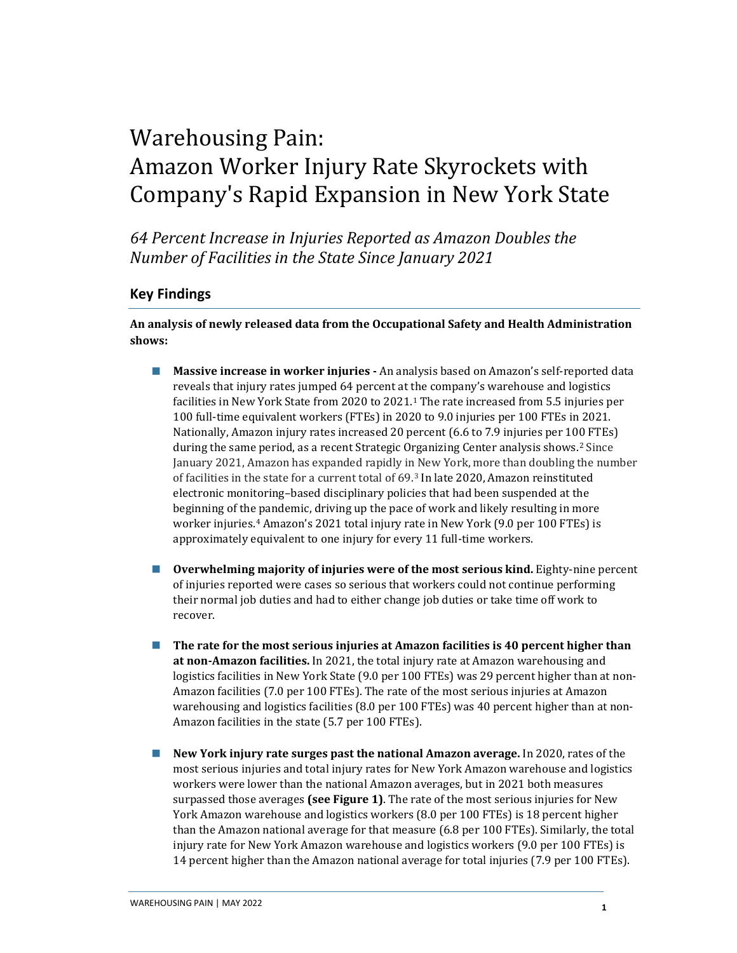### Warehousing Pain: Amazon Worker Injury Rate Skyrockets with Company's Rapid Expansion in New York State

*64 Percent Increase in Injuries Reported as Amazon Doubles the Number of Facilities in the State Since January 2021* 

#### **Key Findings**

**An analysis of newly released data from the Occupational Safety and Health Administration shows:**

- **Massive increase in worker injuries An analysis based on Amazon's self-reported data** reveals that injury rates jumped 64 percent at the company's warehouse and logistics facilities in New York State from 2020 to 2021. [1](#page-8-0) The rate increased from 5.5 injuries per 100 full-time equivalent workers (FTEs) in 2020 to 9.0 injuries per 100 FTEs in 2021. Nationally, Amazon injury rates increased 20 percent (6.6 to 7.9 injuries per 100 FTEs) during the same period, as a recent Strategic Organizing Center analysis shows.[2](#page-8-1) Since January 2021, Amazon has expanded rapidly in New York, more than doubling the number of facilities in the state for a current total of 69. [3](#page-8-2) In late 2020, Amazon reinstituted electronic monitoring–based disciplinary policies that had been suspended at the beginning of the pandemic, driving up the pace of work and likely resulting in more worker injuries. [4](#page-8-3) Amazon's 2021 total injury rate in New York (9.0 per 100 FTEs) is approximately equivalent to one injury for every 11 full-time workers.
- **Overwhelming majority of injuries were of the most serious kind.** Eighty-nine percent of injuries reported were cases so serious that workers could not continue performing their normal job duties and had to either change job duties or take time off work to recover.
- **The rate for the most serious injuries at Amazon facilities is 40 percent higher than at non-Amazon facilities.** In 2021, the total injury rate at Amazon warehousing and logistics facilities in New York State (9.0 per 100 FTEs) was 29 percent higher than at non-Amazon facilities (7.0 per 100 FTEs). The rate of the most serious injuries at Amazon warehousing and logistics facilities (8.0 per 100 FTEs) was 40 percent higher than at non-Amazon facilities in the state (5.7 per 100 FTEs).
- **New York injury rate surges past the national Amazon average.** In 2020, rates of the most serious injuries and total injury rates for New York Amazon warehouse and logistics workers were lower than the national Amazon averages, but in 2021 both measures surpassed those averages **(see Figure 1)**. The rate of the most serious injuries for New York Amazon warehouse and logistics workers (8.0 per 100 FTEs) is 18 percent higher than the Amazon national average for that measure (6.8 per 100 FTEs). Similarly, the total injury rate for New York Amazon warehouse and logistics workers (9.0 per 100 FTEs) is 14 percent higher than the Amazon national average for total injuries (7.9 per 100 FTEs).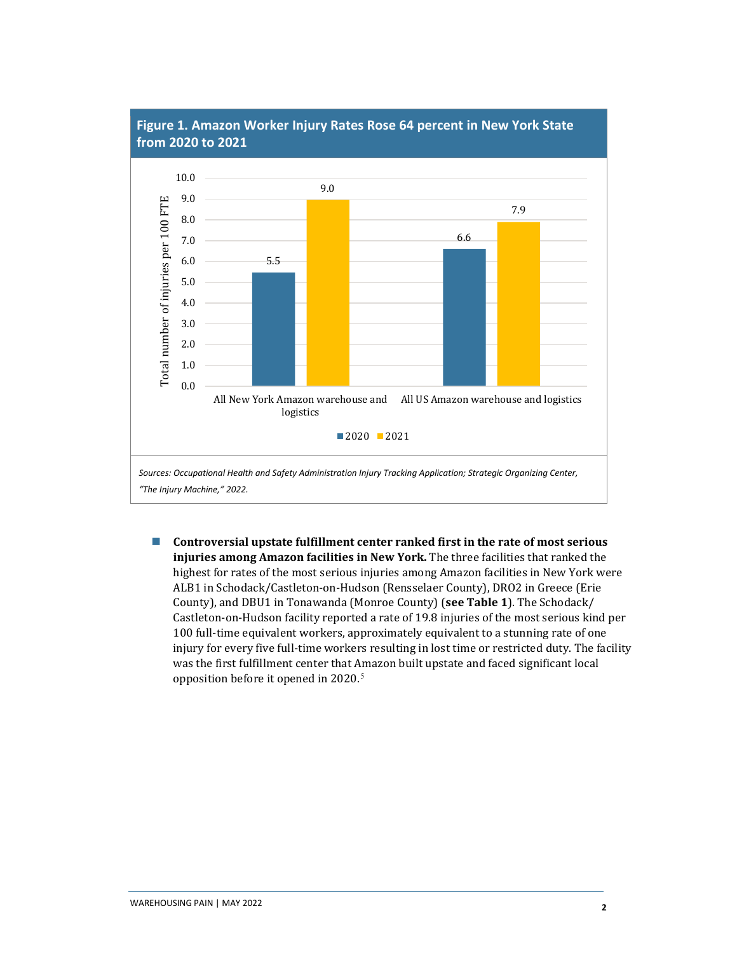

### **Figure 1. Amazon Worker Injury Rates Rose 64 percent in New York State**

 **Controversial upstate fulfillment center ranked first in the rate of most serious injuries among Amazon facilities in New York.** The three facilities that ranked the highest for rates of the most serious injuries among Amazon facilities in New York were ALB1 in Schodack/Castleton-on-Hudson (Rensselaer County), DRO2 in Greece (Erie County), and DBU1 in Tonawanda (Monroe County) (**see Table 1**). The Schodack/ Castleton-on-Hudson facility reported a rate of 19.8 injuries of the most serious kind per 100 full-time equivalent workers, approximately equivalent to a stunning rate of one injury for every five full-time workers resulting in lost time or restricted duty. The facility was the first fulfillment center that Amazon built upstate and faced significant local opposition before it opened in 2020.[5](#page-8-4)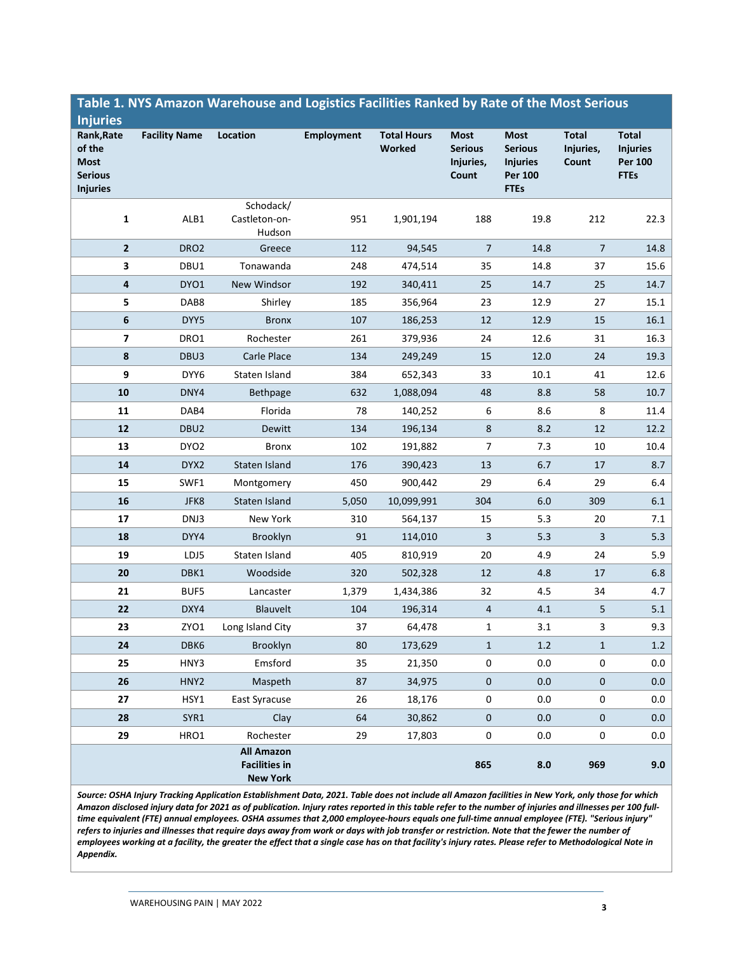| <b>Injuries</b>                                                          |                      |                                                              |                   |                              |                                                     |                                                                                   |                                    |                                                           |
|--------------------------------------------------------------------------|----------------------|--------------------------------------------------------------|-------------------|------------------------------|-----------------------------------------------------|-----------------------------------------------------------------------------------|------------------------------------|-----------------------------------------------------------|
| Rank, Rate<br>of the<br><b>Most</b><br><b>Serious</b><br><b>Injuries</b> | <b>Facility Name</b> | Location                                                     | <b>Employment</b> | <b>Total Hours</b><br>Worked | <b>Most</b><br><b>Serious</b><br>Injuries,<br>Count | <b>Most</b><br><b>Serious</b><br><b>Injuries</b><br><b>Per 100</b><br><b>FTEs</b> | <b>Total</b><br>Injuries,<br>Count | Total<br><b>Injuries</b><br><b>Per 100</b><br><b>FTEs</b> |
| 1                                                                        | ALB1                 | Schodack/<br>Castleton-on-<br>Hudson                         | 951               | 1,901,194                    | 188                                                 | 19.8                                                                              | 212                                | 22.3                                                      |
| $\mathbf{2}$                                                             | DRO <sub>2</sub>     | Greece                                                       | 112               | 94,545                       | 7                                                   | 14.8                                                                              | 7                                  | 14.8                                                      |
| 3                                                                        | DBU1                 | Tonawanda                                                    | 248               | 474,514                      | 35                                                  | 14.8                                                                              | 37                                 | 15.6                                                      |
| 4                                                                        | DYO1                 | New Windsor                                                  | 192               | 340,411                      | 25                                                  | 14.7                                                                              | 25                                 | 14.7                                                      |
| 5                                                                        | DAB8                 | Shirley                                                      | 185               | 356,964                      | 23                                                  | 12.9                                                                              | 27                                 | 15.1                                                      |
| 6                                                                        | DYY5                 | <b>Bronx</b>                                                 | 107               | 186,253                      | 12                                                  | 12.9                                                                              | 15                                 | 16.1                                                      |
| 7                                                                        | DRO1                 | Rochester                                                    | 261               | 379,936                      | 24                                                  | 12.6                                                                              | 31                                 | 16.3                                                      |
| 8                                                                        | DBU3                 | Carle Place                                                  | 134               | 249,249                      | 15                                                  | 12.0                                                                              | 24                                 | 19.3                                                      |
| 9                                                                        | DYY6                 | Staten Island                                                | 384               | 652,343                      | 33                                                  | $10.1\,$                                                                          | 41                                 | 12.6                                                      |
| 10                                                                       | DNY4                 | <b>Bethpage</b>                                              | 632               | 1,088,094                    | 48                                                  | 8.8                                                                               | 58                                 | 10.7                                                      |
| 11                                                                       | DAB4                 | Florida                                                      | 78                | 140,252                      | 6                                                   | 8.6                                                                               | 8                                  | 11.4                                                      |
| 12                                                                       | DBU <sub>2</sub>     | Dewitt                                                       | 134               | 196,134                      | 8                                                   | 8.2                                                                               | 12                                 | 12.2                                                      |
| 13                                                                       | DYO <sub>2</sub>     | <b>Bronx</b>                                                 | 102               | 191,882                      | $\overline{7}$                                      | 7.3                                                                               | 10                                 | 10.4                                                      |
| 14                                                                       | DYX2                 | Staten Island                                                | 176               | 390,423                      | 13                                                  | 6.7                                                                               | 17                                 | 8.7                                                       |
| 15                                                                       | SWF1                 | Montgomery                                                   | 450               | 900,442                      | 29                                                  | 6.4                                                                               | 29                                 | 6.4                                                       |
| 16                                                                       | JFK8                 | Staten Island                                                | 5,050             | 10,099,991                   | 304                                                 | 6.0                                                                               | 309                                | 6.1                                                       |
| 17                                                                       | DNJ3                 | New York                                                     | 310               | 564,137                      | 15                                                  | 5.3                                                                               | 20                                 | 7.1                                                       |
| 18                                                                       | DYY4                 | Brooklyn                                                     | 91                | 114,010                      | 3                                                   | 5.3                                                                               | 3                                  | 5.3                                                       |
| 19                                                                       | LDJ5                 | Staten Island                                                | 405               | 810,919                      | 20                                                  | 4.9                                                                               | 24                                 | 5.9                                                       |
| 20                                                                       | DBK1                 | Woodside                                                     | 320               | 502,328                      | 12                                                  | 4.8                                                                               | 17                                 | 6.8                                                       |
| 21                                                                       | BUF5                 | Lancaster                                                    | 1,379             | 1,434,386                    | 32                                                  | 4.5                                                                               | 34                                 | 4.7                                                       |
| 22                                                                       | DXY4                 | Blauvelt                                                     | 104               | 196,314                      | 4                                                   | 4.1                                                                               | 5                                  | 5.1                                                       |
| 23                                                                       | ZYO1                 | Long Island City                                             | 37                | 64,478                       | 1                                                   | 3.1                                                                               | 3                                  | 9.3                                                       |
| 24                                                                       | DBK6                 | Brooklyn                                                     | 80                | 173,629                      | 1                                                   | $1.2$                                                                             | $\mathbf{1}$                       | 1.2                                                       |
| 25                                                                       | HNY3                 | Emsford                                                      | 35                | 21,350                       | 0                                                   | 0.0                                                                               | 0                                  | $0.0\,$                                                   |
| ${\bf 26}$                                                               | HNY <sub>2</sub>     | Maspeth                                                      | 87                | 34,975                       | 0                                                   | 0.0                                                                               | $\pmb{0}$                          | $0.0\,$                                                   |
| 27                                                                       | HSY1                 | East Syracuse                                                | 26                | 18,176                       | 0                                                   | $0.0\,$                                                                           | 0                                  | $0.0\,$                                                   |
| 28                                                                       | SYR1                 | Clay                                                         | 64                | 30,862                       | 0                                                   | $0.0\,$                                                                           | $\pmb{0}$                          | $0.0\,$                                                   |
| 29                                                                       | HRO1                 | Rochester                                                    | 29                | 17,803                       | 0                                                   | $0.0\,$                                                                           | 0                                  | $0.0\,$                                                   |
|                                                                          |                      | <b>All Amazon</b><br><b>Facilities in</b><br><b>New York</b> |                   |                              | 865                                                 | 8.0                                                                               | 969                                | 9.0                                                       |

### **Table 1. NYS Amazon Warehouse and Logistics Facilities Ranked by Rate of the Most Serious**

*Source: OSHA Injury Tracking Application Establishment Data, 2021. Table does not include all Amazon facilities in New York, only those for which Amazon disclosed injury data for 2021 as of publication. Injury rates reported in this table refer to the number of injuries and illnesses per 100 fulltime equivalent (FTE) annual employees. OSHA assumes that 2,000 employee-hours equals one full-time annual employee (FTE). "Serious injury" refers to injuries and illnesses that require days away from work or days with job transfer or restriction. Note that the fewer the number of employees working at a facility, the greater the effect that a single case has on that facility's injury rates. Please refer to Methodological Note in Appendix.*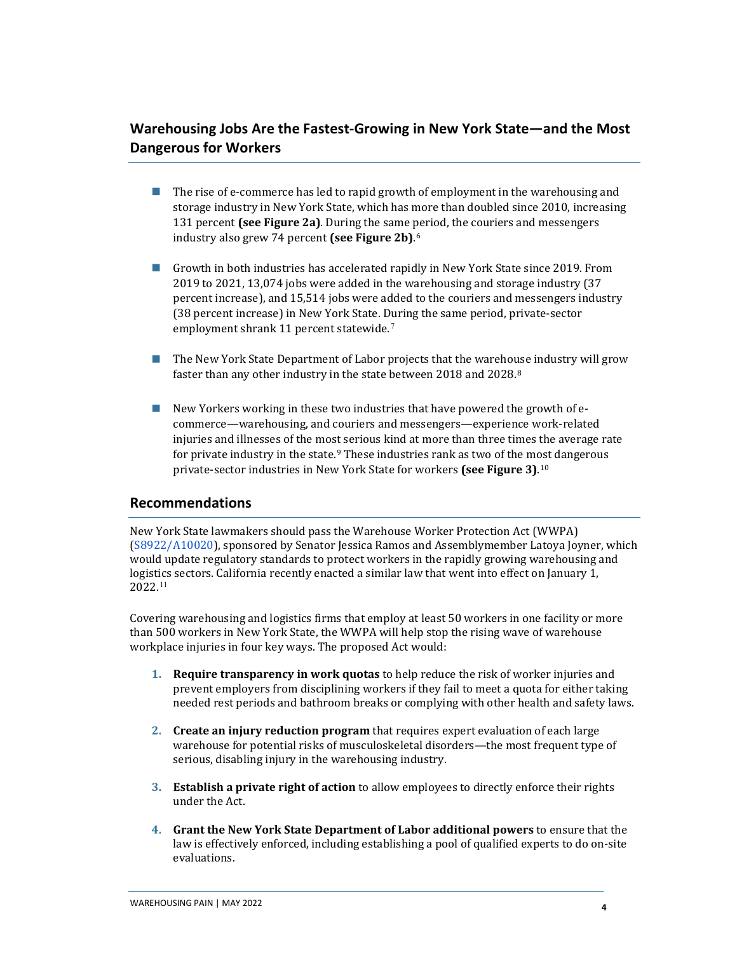#### **Warehousing Jobs Are the Fastest-Growing in New York State—and the Most Dangerous for Workers**

- **The rise of e-commerce has led to rapid growth of employment in the warehousing and** storage industry in New York State, which has more than doubled since 2010, increasing 131 percent **(see Figure 2a)**. During the same period, the couriers and messengers industry also grew 74 percent **(see Figure 2b)**. [6](#page-8-5)
- Growth in both industries has accelerated rapidly in New York State since 2019. From 2019 to 2021, 13,074 jobs were added in the warehousing and storage industry (37 percent increase), and 15,514 jobs were added to the couriers and messengers industry (38 percent increase) in New York State. During the same period, private-sector employment shrank 11 percent statewide.[7](#page-8-6)
- The New York State Department of Labor projects that the warehouse industry will grow faster than any other industry in the state between 2018 and 2028.[8](#page-8-7)
- New Yorkers working in these two industries that have powered the growth of ecommerce—warehousing, and couriers and messengers—experience work-related injuries and illnesses of the most serious kind at more than three times the average rate for private industry in the state.<sup>[9](#page-8-8)</sup> These industries rank as two of the most dangerous private-sector industries in New York State for workers **(see Figure 3)**. [10](#page-8-9)

#### **Recommendations**

New York State lawmakers should pass the Warehouse Worker Protection Act (WWPA) [\(S8922/A10020\)](https://www.nysenate.gov/legislation/bills/2021/s8922), sponsored by Senator Jessica Ramos and Assemblymember Latoya Joyner, which would update regulatory standards to protect workers in the rapidly growing warehousing and logistics sectors. California recently enacted a similar law that went into effect on January 1, 2022.[11](#page-8-10)

Covering warehousing and logistics firms that employ at least 50 workers in one facility or more than 500 workers in New York State, the WWPA will help stop the rising wave of warehouse workplace injuries in four key ways. The proposed Act would:

- **1. Require transparency in work quotas** to help reduce the risk of worker injuries and prevent employers from disciplining workers if they fail to meet a quota for either taking needed rest periods and bathroom breaks or complying with other health and safety laws.
- **2. Create an injury reduction program** that requires expert evaluation of each large warehouse for potential risks of musculoskeletal disorders—the most frequent type of serious, disabling injury in the warehousing industry.
- **3. Establish a private right of action** to allow employees to directly enforce their rights under the Act.
- **4. Grant the New York State Department of Labor additional powers** to ensure that the law is effectively enforced, including establishing a pool of qualified experts to do on-site evaluations.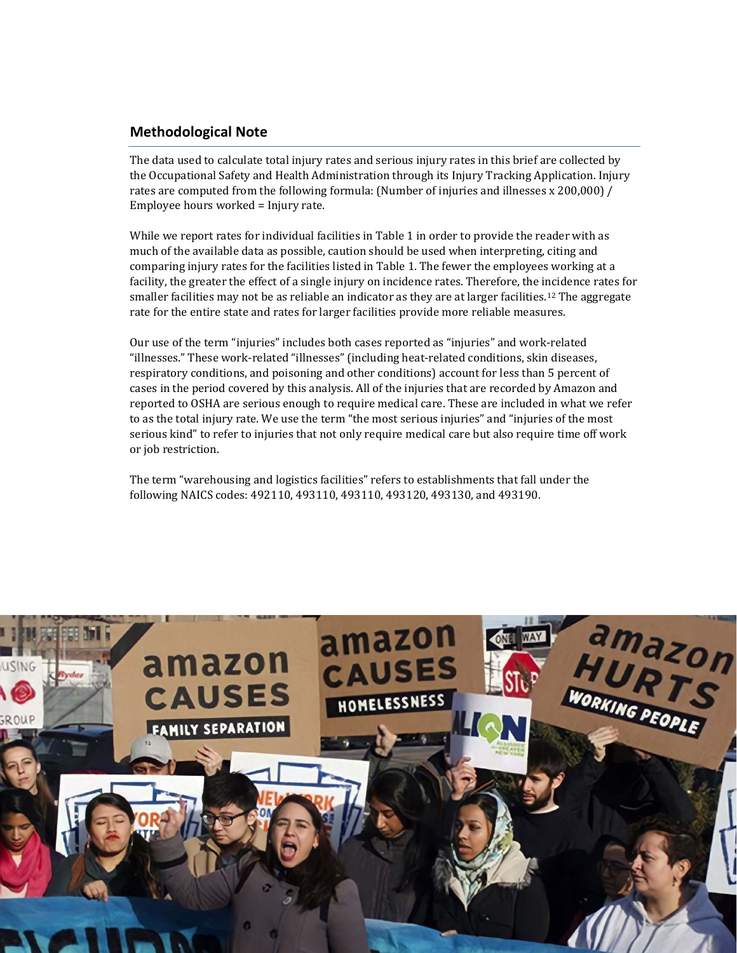#### **Methodological Note**

The data used to calculate total injury rates and serious injury rates in this brief are collected by the Occupational Safety and Health Administration through its Injury Tracking Application. Injury rates are computed from the following formula: (Number of injuries and illnesses x 200,000) / Employee hours worked = Injury rate.

While we report rates for individual facilities in Table 1 in order to provide the reader with as much of the available data as possible, caution should be used when interpreting, citing and comparing injury rates for the facilities listed in Table 1. The fewer the employees working at a facility, the greater the effect of a single injury on incidence rates. Therefore, the incidence rates for smaller facilities may not be as reliable an indicator as they are at larger facilities.<sup>[12](#page-8-11)</sup> The aggregate rate for the entire state and rates for larger facilities provide more reliable measures.

Our use of the term "injuries" includes both cases reported as "injuries" and work-related "illnesses." These work-related "illnesses" (including heat-related conditions, skin diseases, respiratory conditions, and poisoning and other conditions) account for less than 5 percent of cases in the period covered by this analysis. All of the injuries that are recorded by Amazon and reported to OSHA are serious enough to require medical care. These are included in what we refer to as the total injury rate. We use the term "the most serious injuries" and "injuries of the most serious kind" to refer to injuries that not only require medical care but also require time off work or job restriction.

The term "warehousing and logistics facilities" refers to establishments that fall under the following NAICS codes: 492110, 493110, 493110, 493120, 493130, and 493190.

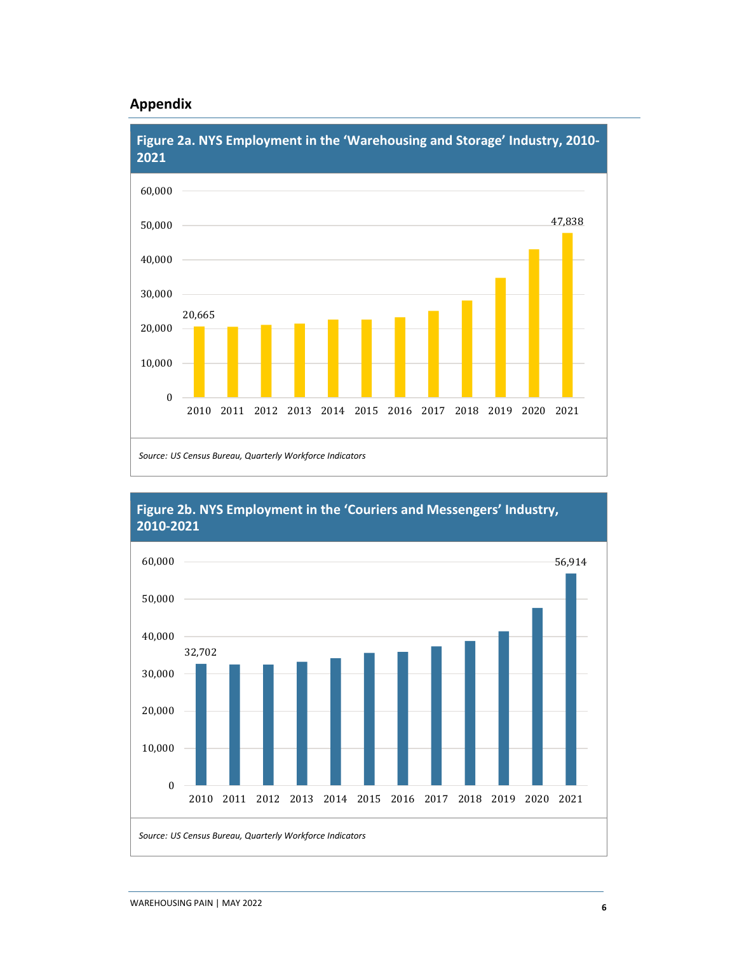#### **Appendix**





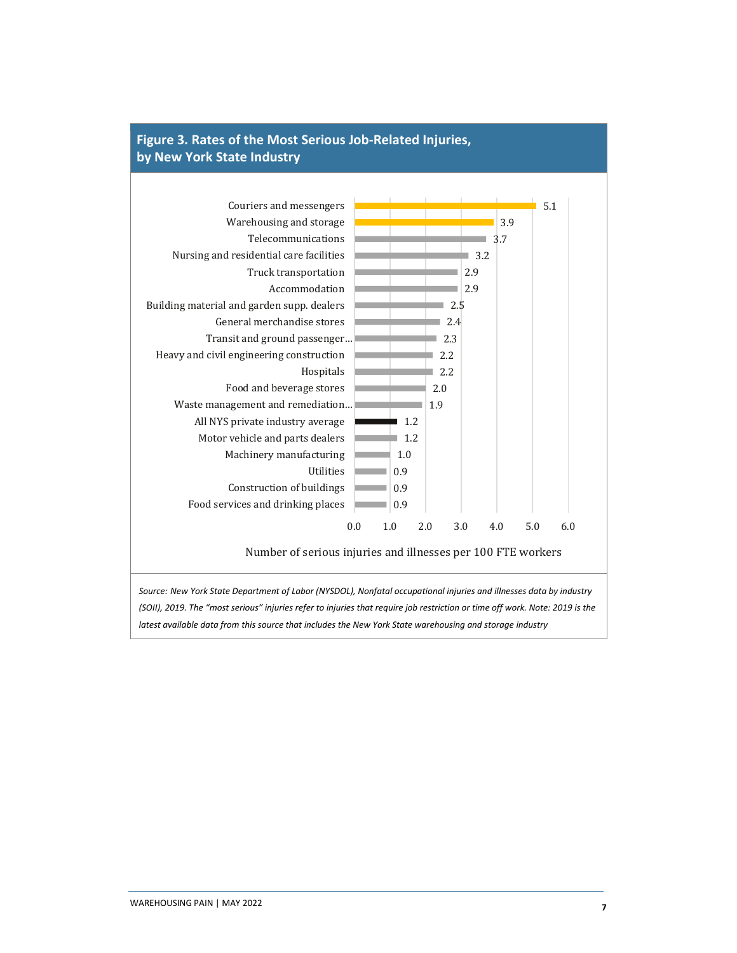

## **Figure 3. Rates of the Most Serious Job-Related Injuries,**